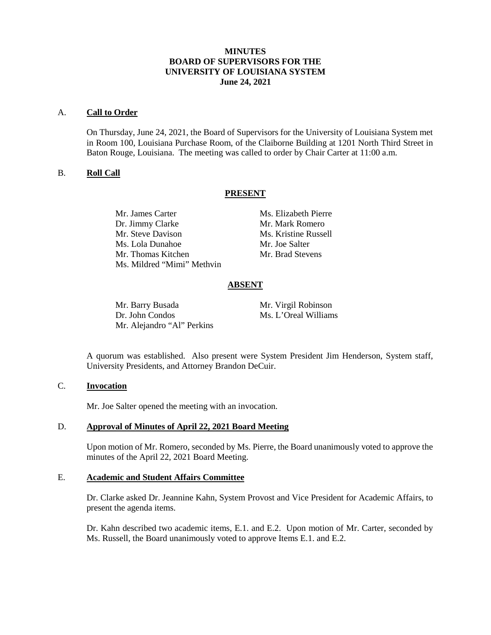# **MINUTES BOARD OF SUPERVISORS FOR THE UNIVERSITY OF LOUISIANA SYSTEM June 24, 2021**

#### A. **Call to Order**

On Thursday, June 24, 2021, the Board of Supervisors for the University of Louisiana System met in Room 100, Louisiana Purchase Room, of the Claiborne Building at 1201 North Third Street in Baton Rouge, Louisiana. The meeting was called to order by Chair Carter at 11:00 a.m.

### B. **Roll Call**

### **PRESENT**

Mr. James Carter Ms. Elizabeth Pierre Dr. Jimmy Clarke Mr. Mark Romero Mr. Steve Davison Ms. Kristine Russell Ms. Lola Dunahoe Mr. Joe Salter Mr. Thomas Kitchen Mr. Brad Stevens Ms. Mildred "Mimi" Methvin

### **ABSENT**

Mr. Barry Busada Mr. Virgil Robinson<br>Dr. John Condos Ms. L'Oreal William Mr. Alejandro "Al" Perkins

Ms. L'Oreal Williams

A quorum was established. Also present were System President Jim Henderson, System staff, University Presidents, and Attorney Brandon DeCuir.

### C. **Invocation**

Mr. Joe Salter opened the meeting with an invocation.

### D. **Approval of Minutes of April 22, 2021 Board Meeting**

Upon motion of Mr. Romero, seconded by Ms. Pierre, the Board unanimously voted to approve the minutes of the April 22, 2021 Board Meeting.

#### E. **Academic and Student Affairs Committee**

Dr. Clarke asked Dr. Jeannine Kahn, System Provost and Vice President for Academic Affairs, to present the agenda items.

Dr. Kahn described two academic items, E.1. and E.2. Upon motion of Mr. Carter, seconded by Ms. Russell, the Board unanimously voted to approve Items E.1. and E.2.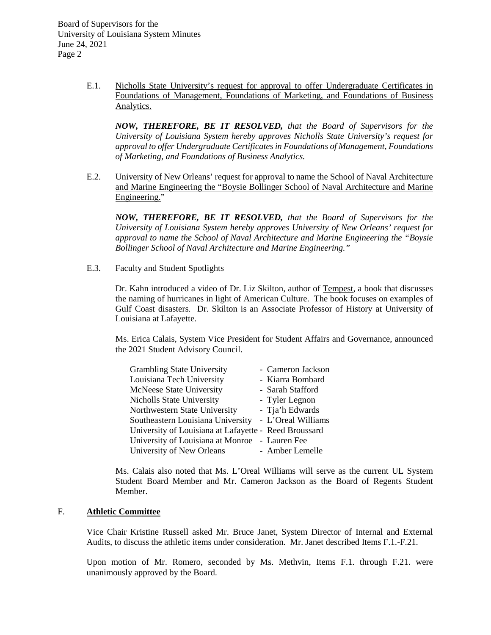> E.1. Nicholls State University's request for approval to offer Undergraduate Certificates in Foundations of Management, Foundations of Marketing, and Foundations of Business Analytics.

*NOW, THEREFORE, BE IT RESOLVED, that the Board of Supervisors for the University of Louisiana System hereby approves Nicholls State University's request for approval to offer Undergraduate Certificates in Foundations of Management, Foundations of Marketing, and Foundations of Business Analytics.*

E.2. University of New Orleans' request for approval to name the School of Naval Architecture and Marine Engineering the "Boysie Bollinger School of Naval Architecture and Marine Engineering."

*NOW, THEREFORE, BE IT RESOLVED, that the Board of Supervisors for the University of Louisiana System hereby approves University of New Orleans' request for approval to name the School of Naval Architecture and Marine Engineering the "Boysie Bollinger School of Naval Architecture and Marine Engineering."*

E.3. Faculty and Student Spotlights

Dr. Kahn introduced a video of Dr. Liz Skilton, author of Tempest, a book that discusses the naming of hurricanes in light of American Culture. The book focuses on examples of Gulf Coast disasters. Dr. Skilton is an Associate Professor of History at University of Louisiana at Lafayette.

Ms. Erica Calais, System Vice President for Student Affairs and Governance, announced the 2021 Student Advisory Council.

| <b>Grambling State University</b>                     | - Cameron Jackson  |
|-------------------------------------------------------|--------------------|
| Louisiana Tech University                             | - Kiarra Bombard   |
| <b>McNeese State University</b>                       | - Sarah Stafford   |
| <b>Nicholls State University</b>                      | - Tyler Legnon     |
| Northwestern State University                         | - Tja'h Edwards    |
| Southeastern Louisiana University                     | - L'Oreal Williams |
| University of Louisiana at Lafayette - Reed Broussard |                    |
| University of Louisiana at Monroe - Lauren Fee        |                    |
| University of New Orleans                             | - Amber Lemelle    |

Ms. Calais also noted that Ms. L'Oreal Williams will serve as the current UL System Student Board Member and Mr. Cameron Jackson as the Board of Regents Student Member.

# F. **Athletic Committee**

Vice Chair Kristine Russell asked Mr. Bruce Janet, System Director of Internal and External Audits, to discuss the athletic items under consideration. Mr. Janet described Items F.1.-F.21.

Upon motion of Mr. Romero, seconded by Ms. Methvin, Items F.1. through F.21. were unanimously approved by the Board.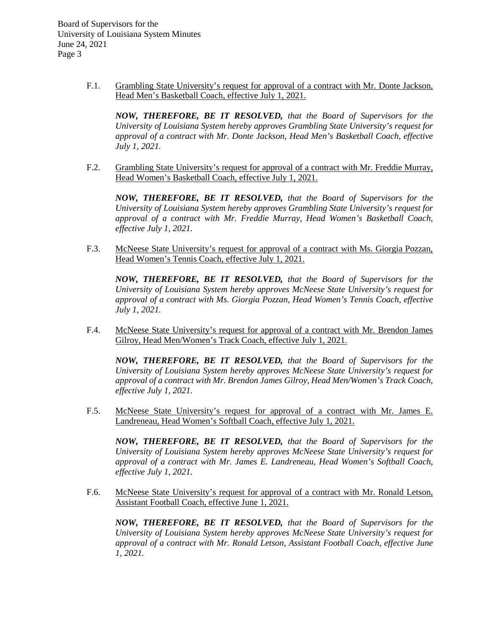> F.1. Grambling State University's request for approval of a contract with Mr. Donte Jackson, Head Men's Basketball Coach, effective July 1, 2021.

*NOW, THEREFORE, BE IT RESOLVED, that the Board of Supervisors for the University of Louisiana System hereby approves Grambling State University's request for approval of a contract with Mr. Donte Jackson, Head Men's Basketball Coach, effective July 1, 2021.*

F.2. Grambling State University's request for approval of a contract with Mr. Freddie Murray, Head Women's Basketball Coach, effective July 1, 2021.

*NOW, THEREFORE, BE IT RESOLVED, that the Board of Supervisors for the University of Louisiana System hereby approves Grambling State University's request for approval of a contract with Mr. Freddie Murray, Head Women's Basketball Coach, effective July 1, 2021.*

F.3. McNeese State University's request for approval of a contract with Ms. Giorgia Pozzan, Head Women's Tennis Coach, effective July 1, 2021.

*NOW, THEREFORE, BE IT RESOLVED, that the Board of Supervisors for the University of Louisiana System hereby approves McNeese State University's request for approval of a contract with Ms. Giorgia Pozzan, Head Women's Tennis Coach, effective July 1, 2021.*

F.4. McNeese State University's request for approval of a contract with Mr. Brendon James Gilroy, Head Men/Women's Track Coach, effective July 1, 2021.

*NOW, THEREFORE, BE IT RESOLVED, that the Board of Supervisors for the University of Louisiana System hereby approves McNeese State University's request for approval of a contract with Mr. Brendon James Gilroy, Head Men/Women's Track Coach, effective July 1, 2021.*

F.5. McNeese State University's request for approval of a contract with Mr. James E. Landreneau, Head Women's Softball Coach, effective July 1, 2021.

*NOW, THEREFORE, BE IT RESOLVED, that the Board of Supervisors for the University of Louisiana System hereby approves McNeese State University's request for approval of a contract with Mr. James E. Landreneau, Head Women's Softball Coach, effective July 1, 2021.*

F.6. McNeese State University's request for approval of a contract with Mr. Ronald Letson, Assistant Football Coach, effective June 1, 2021.

*NOW, THEREFORE, BE IT RESOLVED, that the Board of Supervisors for the University of Louisiana System hereby approves McNeese State University's request for approval of a contract with Mr. Ronald Letson, Assistant Football Coach, effective June 1, 2021.*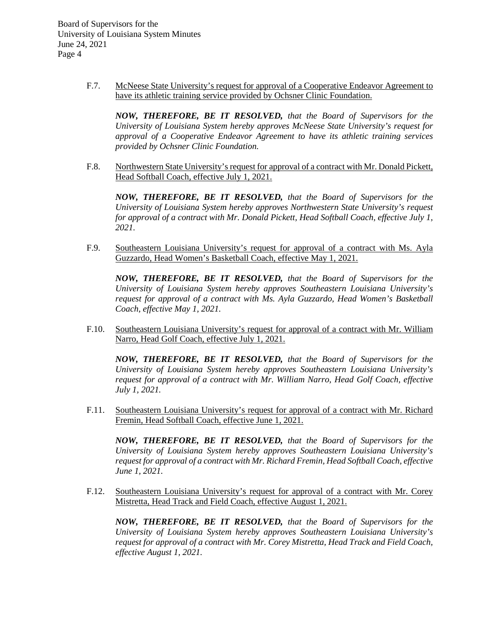> F.7. McNeese State University's request for approval of a Cooperative Endeavor Agreement to have its athletic training service provided by Ochsner Clinic Foundation.

*NOW, THEREFORE, BE IT RESOLVED, that the Board of Supervisors for the University of Louisiana System hereby approves McNeese State University's request for approval of a Cooperative Endeavor Agreement to have its athletic training services provided by Ochsner Clinic Foundation.*

F.8. Northwestern State University's request for approval of a contract with Mr. Donald Pickett, Head Softball Coach, effective July 1, 2021.

*NOW, THEREFORE, BE IT RESOLVED, that the Board of Supervisors for the University of Louisiana System hereby approves Northwestern State University's request for approval of a contract with Mr. Donald Pickett, Head Softball Coach, effective July 1, 2021.*

F.9. Southeastern Louisiana University's request for approval of a contract with Ms. Ayla Guzzardo, Head Women's Basketball Coach, effective May 1, 2021.

*NOW, THEREFORE, BE IT RESOLVED, that the Board of Supervisors for the University of Louisiana System hereby approves Southeastern Louisiana University's request for approval of a contract with Ms. Ayla Guzzardo, Head Women's Basketball Coach, effective May 1, 2021.*

F.10. Southeastern Louisiana University's request for approval of a contract with Mr. William Narro, Head Golf Coach, effective July 1, 2021.

*NOW, THEREFORE, BE IT RESOLVED, that the Board of Supervisors for the University of Louisiana System hereby approves Southeastern Louisiana University's request for approval of a contract with Mr. William Narro, Head Golf Coach, effective July 1, 2021.*

F.11. Southeastern Louisiana University's request for approval of a contract with Mr. Richard Fremin, Head Softball Coach, effective June 1, 2021.

*NOW, THEREFORE, BE IT RESOLVED, that the Board of Supervisors for the University of Louisiana System hereby approves Southeastern Louisiana University's request for approval of a contract with Mr. Richard Fremin, Head Softball Coach, effective June 1, 2021.*

F.12. Southeastern Louisiana University's request for approval of a contract with Mr. Corey Mistretta, Head Track and Field Coach, effective August 1, 2021.

*NOW, THEREFORE, BE IT RESOLVED, that the Board of Supervisors for the University of Louisiana System hereby approves Southeastern Louisiana University's request for approval of a contract with Mr. Corey Mistretta, Head Track and Field Coach, effective August 1, 2021.*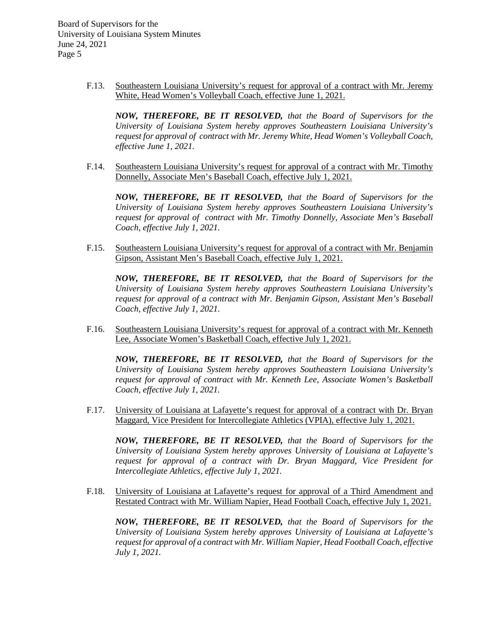> F.13. Southeastern Louisiana University's request for approval of a contract with Mr. Jeremy White, Head Women's Volleyball Coach, effective June 1, 2021.

*NOW, THEREFORE, BE IT RESOLVED, that the Board of Supervisors for the University of Louisiana System hereby approves Southeastern Louisiana University's request for approval of contract with Mr. Jeremy White, Head Women's Volleyball Coach, effective June 1, 2021.*

F.14. Southeastern Louisiana University's request for approval of a contract with Mr. Timothy Donnelly, Associate Men's Baseball Coach, effective July 1, 2021.

*NOW, THEREFORE, BE IT RESOLVED, that the Board of Supervisors for the University of Louisiana System hereby approves Southeastern Louisiana University's request for approval of contract with Mr. Timothy Donnelly, Associate Men's Baseball Coach, effective July 1, 2021.*

F.15. Southeastern Louisiana University's request for approval of a contract with Mr. Benjamin Gipson, Assistant Men's Baseball Coach, effective July 1, 2021.

*NOW, THEREFORE, BE IT RESOLVED, that the Board of Supervisors for the University of Louisiana System hereby approves Southeastern Louisiana University's request for approval of a contract with Mr. Benjamin Gipson, Assistant Men's Baseball Coach, effective July 1, 2021.*

F.16. Southeastern Louisiana University's request for approval of a contract with Mr. Kenneth Lee, Associate Women's Basketball Coach, effective July 1, 2021.

*NOW, THEREFORE, BE IT RESOLVED, that the Board of Supervisors for the University of Louisiana System hereby approves Southeastern Louisiana University's request for approval of contract with Mr. Kenneth Lee, Associate Women's Basketball Coach, effective July 1, 2021.*

F.17. University of Louisiana at Lafayette's request for approval of a contract with Dr. Bryan Maggard, Vice President for Intercollegiate Athletics (VPIA), effective July 1, 2021.

*NOW, THEREFORE, BE IT RESOLVED, that the Board of Supervisors for the University of Louisiana System hereby approves University of Louisiana at Lafayette's request for approval of a contract with Dr. Bryan Maggard, Vice President for Intercollegiate Athletics, effective July 1, 2021.*

F.18. University of Louisiana at Lafayette's request for approval of a Third Amendment and Restated Contract with Mr. William Napier, Head Football Coach, effective July 1, 2021.

*NOW, THEREFORE, BE IT RESOLVED, that the Board of Supervisors for the University of Louisiana System hereby approves University of Louisiana at Lafayette's request for approval of a contract with Mr. William Napier, Head Football Coach, effective July 1, 2021.*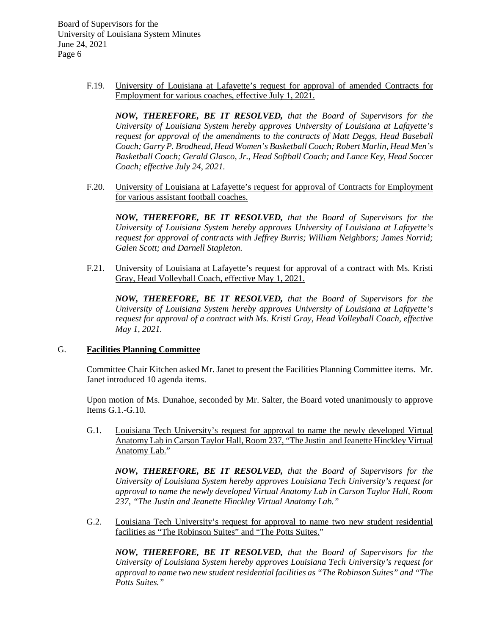> F.19. University of Louisiana at Lafayette's request for approval of amended Contracts for Employment for various coaches, effective July 1, 2021.

*NOW, THEREFORE, BE IT RESOLVED, that the Board of Supervisors for the University of Louisiana System hereby approves University of Louisiana at Lafayette's request for approval of the amendments to the contracts of Matt Deggs, Head Baseball Coach; Garry P. Brodhead, Head Women's Basketball Coach; Robert Marlin, Head Men's Basketball Coach; Gerald Glasco, Jr., Head Softball Coach; and Lance Key, Head Soccer Coach; effective July 24, 2021.*

F.20. University of Louisiana at Lafayette's request for approval of Contracts for Employment for various assistant football coaches.

*NOW, THEREFORE, BE IT RESOLVED, that the Board of Supervisors for the University of Louisiana System hereby approves University of Louisiana at Lafayette's request for approval of contracts with Jeffrey Burris; William Neighbors; James Norrid; Galen Scott; and Darnell Stapleton.*

F.21. University of Louisiana at Lafayette's request for approval of a contract with Ms. Kristi Gray, Head Volleyball Coach, effective May 1, 2021.

*NOW, THEREFORE, BE IT RESOLVED, that the Board of Supervisors for the University of Louisiana System hereby approves University of Louisiana at Lafayette's request for approval of a contract with Ms. Kristi Gray, Head Volleyball Coach, effective May 1, 2021.*

### G. **Facilities Planning Committee**

Committee Chair Kitchen asked Mr. Janet to present the Facilities Planning Committee items. Mr. Janet introduced 10 agenda items.

Upon motion of Ms. Dunahoe, seconded by Mr. Salter, the Board voted unanimously to approve Items G.1.-G.10.

G.1. Louisiana Tech University's request for approval to name the newly developed Virtual Anatomy Lab in Carson Taylor Hall, Room 237, "The Justin and Jeanette Hinckley Virtual Anatomy Lab."

*NOW, THEREFORE, BE IT RESOLVED, that the Board of Supervisors for the University of Louisiana System hereby approves Louisiana Tech University's request for approval to name the newly developed Virtual Anatomy Lab in Carson Taylor Hall, Room 237, "The Justin and Jeanette Hinckley Virtual Anatomy Lab."*

G.2. Louisiana Tech University's request for approval to name two new student residential facilities as "The Robinson Suites" and "The Potts Suites."

*NOW, THEREFORE, BE IT RESOLVED, that the Board of Supervisors for the University of Louisiana System hereby approves Louisiana Tech University's request for approval to name two new student residential facilities as "The Robinson Suites" and "The Potts Suites."*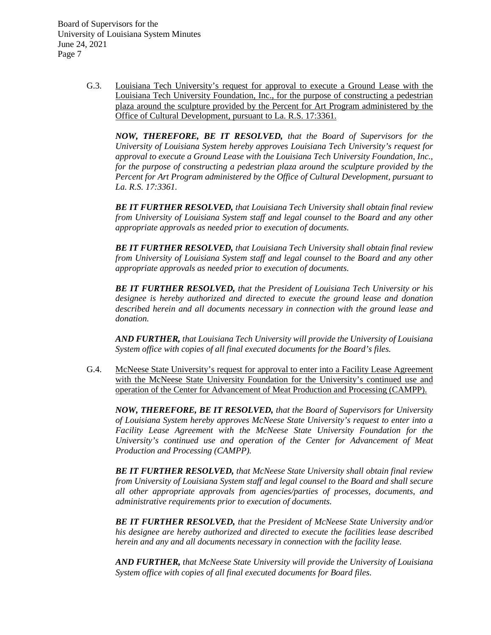> G.3. Louisiana Tech University's request for approval to execute a Ground Lease with the Louisiana Tech University Foundation, Inc., for the purpose of constructing a pedestrian plaza around the sculpture provided by the Percent for Art Program administered by the Office of Cultural Development, pursuant to La. R.S. 17:3361.

*NOW, THEREFORE, BE IT RESOLVED, that the Board of Supervisors for the University of Louisiana System hereby approves Louisiana Tech University's request for approval to execute a Ground Lease with the Louisiana Tech University Foundation, Inc., for the purpose of constructing a pedestrian plaza around the sculpture provided by the Percent for Art Program administered by the Office of Cultural Development, pursuant to La. R.S. 17:3361.*

*BE IT FURTHER RESOLVED, that Louisiana Tech University shall obtain final review from University of Louisiana System staff and legal counsel to the Board and any other appropriate approvals as needed prior to execution of documents.*

*BE IT FURTHER RESOLVED, that Louisiana Tech University shall obtain final review from University of Louisiana System staff and legal counsel to the Board and any other appropriate approvals as needed prior to execution of documents.*

*BE IT FURTHER RESOLVED, that the President of Louisiana Tech University or his designee is hereby authorized and directed to execute the ground lease and donation described herein and all documents necessary in connection with the ground lease and donation.*

*AND FURTHER, that Louisiana Tech University will provide the University of Louisiana System office with copies of all final executed documents for the Board's files.*

G.4. McNeese State University's request for approval to enter into a Facility Lease Agreement with the McNeese State University Foundation for the University's continued use and operation of the Center for Advancement of Meat Production and Processing (CAMPP).

*NOW, THEREFORE, BE IT RESOLVED, that the Board of Supervisors for University of Louisiana System hereby approves McNeese State University's request to enter into a Facility Lease Agreement with the McNeese State University Foundation for the University's continued use and operation of the Center for Advancement of Meat Production and Processing (CAMPP).*

*BE IT FURTHER RESOLVED, that McNeese State University shall obtain final review from University of Louisiana System staff and legal counsel to the Board and shall secure all other appropriate approvals from agencies/parties of processes, documents, and administrative requirements prior to execution of documents.*

*BE IT FURTHER RESOLVED, that the President of McNeese State University and/or his designee are hereby authorized and directed to execute the facilities lease described herein and any and all documents necessary in connection with the facility lease.*

*AND FURTHER, that McNeese State University will provide the University of Louisiana System office with copies of all final executed documents for Board files.*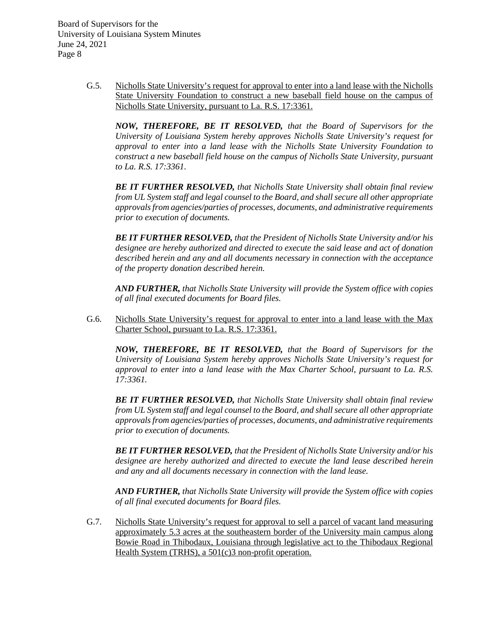> G.5. Nicholls State University's request for approval to enter into a land lease with the Nicholls State University Foundation to construct a new baseball field house on the campus of Nicholls State University, pursuant to La. R.S. 17:3361.

*NOW, THEREFORE, BE IT RESOLVED, that the Board of Supervisors for the University of Louisiana System hereby approves Nicholls State University's request for approval to enter into a land lease with the Nicholls State University Foundation to construct a new baseball field house on the campus of Nicholls State University, pursuant to La. R.S. 17:3361.*

*BE IT FURTHER RESOLVED, that Nicholls State University shall obtain final review from UL System staff and legal counsel to the Board, and shall secure all other appropriate approvals from agencies/parties of processes, documents, and administrative requirements prior to execution of documents.*

*BE IT FURTHER RESOLVED, that the President of Nicholls State University and/or his designee are hereby authorized and directed to execute the said lease and act of donation described herein and any and all documents necessary in connection with the acceptance of the property donation described herein.*

*AND FURTHER, that Nicholls State University will provide the System office with copies of all final executed documents for Board files.*

G.6. Nicholls State University's request for approval to enter into a land lease with the Max Charter School, pursuant to La. R.S. 17:3361.

*NOW, THEREFORE, BE IT RESOLVED, that the Board of Supervisors for the University of Louisiana System hereby approves Nicholls State University's request for approval to enter into a land lease with the Max Charter School, pursuant to La. R.S. 17:3361.*

*BE IT FURTHER RESOLVED, that Nicholls State University shall obtain final review from UL System staff and legal counsel to the Board, and shall secure all other appropriate approvals from agencies/parties of processes, documents, and administrative requirements prior to execution of documents.*

*BE IT FURTHER RESOLVED, that the President of Nicholls State University and/or his designee are hereby authorized and directed to execute the land lease described herein and any and all documents necessary in connection with the land lease.*

*AND FURTHER, that Nicholls State University will provide the System office with copies of all final executed documents for Board files.*

G.7. Nicholls State University's request for approval to sell a parcel of vacant land measuring approximately 5.3 acres at the southeastern border of the University main campus along Bowie Road in Thibodaux, Louisiana through legislative act to the Thibodaux Regional Health System (TRHS), a 501(c)3 non-profit operation.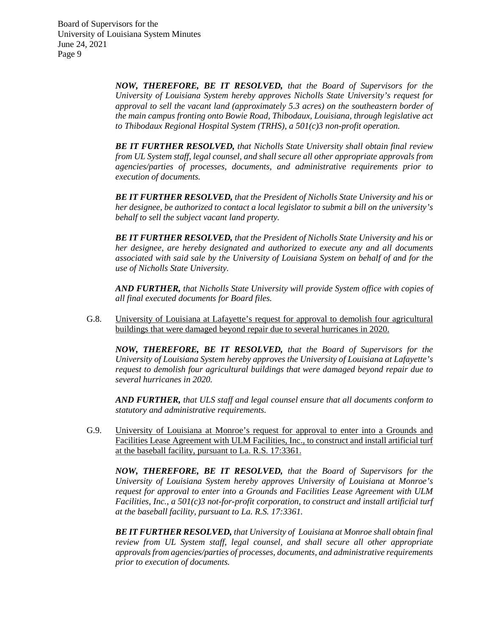> *NOW, THEREFORE, BE IT RESOLVED, that the Board of Supervisors for the University of Louisiana System hereby approves Nicholls State University's request for approval to sell the vacant land (approximately 5.3 acres) on the southeastern border of the main campus fronting onto Bowie Road, Thibodaux, Louisiana, through legislative act to Thibodaux Regional Hospital System (TRHS), a 501(c)3 non-profit operation.*

> *BE IT FURTHER RESOLVED, that Nicholls State University shall obtain final review from UL System staff, legal counsel, and shall secure all other appropriate approvals from agencies/parties of processes, documents, and administrative requirements prior to execution of documents.*

> *BE IT FURTHER RESOLVED, that the President of Nicholls State University and his or her designee, be authorized to contact a local legislator to submit a bill on the university's behalf to sell the subject vacant land property.*

> *BE IT FURTHER RESOLVED, that the President of Nicholls State University and his or her designee, are hereby designated and authorized to execute any and all documents associated with said sale by the University of Louisiana System on behalf of and for the use of Nicholls State University.*

> *AND FURTHER, that Nicholls State University will provide System office with copies of all final executed documents for Board files.*

G.8. University of Louisiana at Lafayette's request for approval to demolish four agricultural buildings that were damaged beyond repair due to several hurricanes in 2020.

*NOW, THEREFORE, BE IT RESOLVED, that the Board of Supervisors for the University of Louisiana System hereby approves the University of Louisiana at Lafayette's request to demolish four agricultural buildings that were damaged beyond repair due to several hurricanes in 2020.*

*AND FURTHER, that ULS staff and legal counsel ensure that all documents conform to statutory and administrative requirements.*

G.9. University of Louisiana at Monroe's request for approval to enter into a Grounds and Facilities Lease Agreement with ULM Facilities, Inc., to construct and install artificial turf at the baseball facility, pursuant to La. R.S. 17:3361.

*NOW, THEREFORE, BE IT RESOLVED, that the Board of Supervisors for the University of Louisiana System hereby approves University of Louisiana at Monroe's request for approval to enter into a Grounds and Facilities Lease Agreement with ULM Facilities, Inc., a 501(c)3 not-for-profit corporation, to construct and install artificial turf at the baseball facility, pursuant to La. R.S. 17:3361.*

*BE IT FURTHER RESOLVED, that University of Louisiana at Monroe shall obtain final review from UL System staff, legal counsel, and shall secure all other appropriate approvals from agencies/parties of processes, documents, and administrative requirements prior to execution of documents.*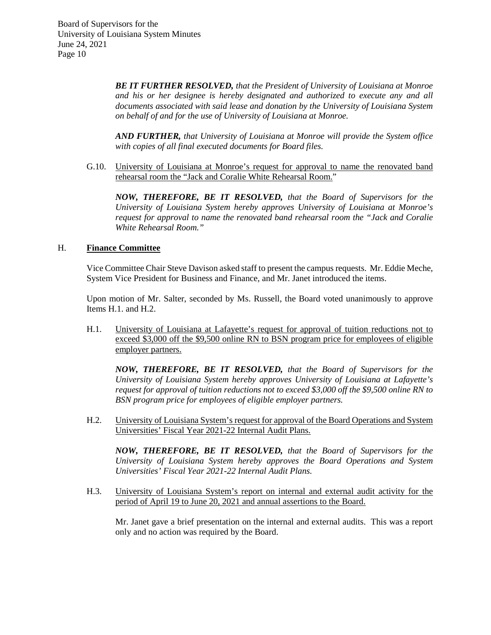> *BE IT FURTHER RESOLVED, that the President of University of Louisiana at Monroe and his or her designee is hereby designated and authorized to execute any and all documents associated with said lease and donation by the University of Louisiana System on behalf of and for the use of University of Louisiana at Monroe.*

> *AND FURTHER, that University of Louisiana at Monroe will provide the System office with copies of all final executed documents for Board files.*

G.10. University of Louisiana at Monroe's request for approval to name the renovated band rehearsal room the "Jack and Coralie White Rehearsal Room."

*NOW, THEREFORE, BE IT RESOLVED, that the Board of Supervisors for the University of Louisiana System hereby approves University of Louisiana at Monroe's request for approval to name the renovated band rehearsal room the "Jack and Coralie White Rehearsal Room."*

### H. **Finance Committee**

Vice Committee Chair Steve Davison asked staff to present the campus requests. Mr. Eddie Meche, System Vice President for Business and Finance, and Mr. Janet introduced the items.

Upon motion of Mr. Salter, seconded by Ms. Russell, the Board voted unanimously to approve Items H.1. and H.2.

H.1. University of Louisiana at Lafayette's request for approval of tuition reductions not to exceed \$3,000 off the \$9,500 online RN to BSN program price for employees of eligible employer partners.

*NOW, THEREFORE, BE IT RESOLVED, that the Board of Supervisors for the University of Louisiana System hereby approves University of Louisiana at Lafayette's request for approval of tuition reductions not to exceed \$3,000 off the \$9,500 online RN to BSN program price for employees of eligible employer partners.*

H.2. University of Louisiana System's request for approval of the Board Operations and System Universities' Fiscal Year 2021-22 Internal Audit Plans.

*NOW, THEREFORE, BE IT RESOLVED, that the Board of Supervisors for the University of Louisiana System hereby approves the Board Operations and System Universities' Fiscal Year 2021-22 Internal Audit Plans.*

H.3. University of Louisiana System's report on internal and external audit activity for the period of April 19 to June 20, 2021 and annual assertions to the Board.

Mr. Janet gave a brief presentation on the internal and external audits. This was a report only and no action was required by the Board.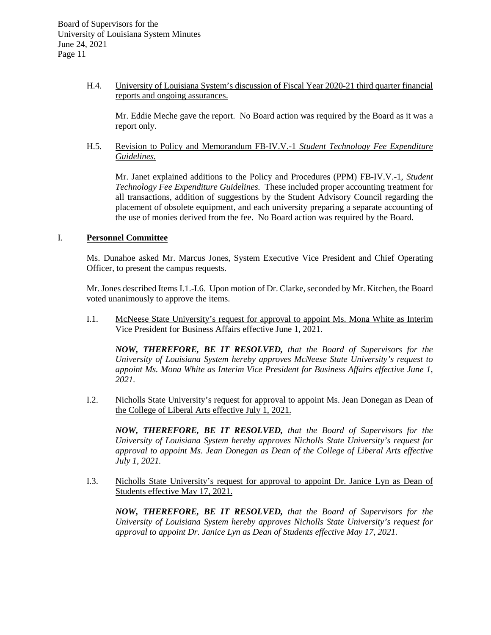H.4. University of Louisiana System's discussion of Fiscal Year 2020-21 third quarter financial reports and ongoing assurances.

Mr. Eddie Meche gave the report. No Board action was required by the Board as it was a report only.

H.5. Revision to Policy and Memorandum FB-IV.V.-1 *Student Technology Fee Expenditure Guidelines.*

Mr. Janet explained additions to the Policy and Procedures (PPM) FB-IV.V.-1, *Student Technology Fee Expenditure Guidelines.* These included proper accounting treatment for all transactions, addition of suggestions by the Student Advisory Council regarding the placement of obsolete equipment, and each university preparing a separate accounting of the use of monies derived from the fee. No Board action was required by the Board.

### I. **Personnel Committee**

Ms. Dunahoe asked Mr. Marcus Jones, System Executive Vice President and Chief Operating Officer, to present the campus requests.

Mr. Jones described Items I.1.-I.6. Upon motion of Dr. Clarke, seconded by Mr. Kitchen, the Board voted unanimously to approve the items.

I.1. McNeese State University's request for approval to appoint Ms. Mona White as Interim Vice President for Business Affairs effective June 1, 2021.

*NOW, THEREFORE, BE IT RESOLVED, that the Board of Supervisors for the University of Louisiana System hereby approves McNeese State University's request to appoint Ms. Mona White as Interim Vice President for Business Affairs effective June 1, 2021.*

I.2. Nicholls State University's request for approval to appoint Ms. Jean Donegan as Dean of the College of Liberal Arts effective July 1, 2021.

*NOW, THEREFORE, BE IT RESOLVED, that the Board of Supervisors for the University of Louisiana System hereby approves Nicholls State University's request for approval to appoint Ms. Jean Donegan as Dean of the College of Liberal Arts effective July 1, 2021.*

I.3. Nicholls State University's request for approval to appoint Dr. Janice Lyn as Dean of Students effective May 17, 2021.

*NOW, THEREFORE, BE IT RESOLVED, that the Board of Supervisors for the University of Louisiana System hereby approves Nicholls State University's request for approval to appoint Dr. Janice Lyn as Dean of Students effective May 17, 2021.*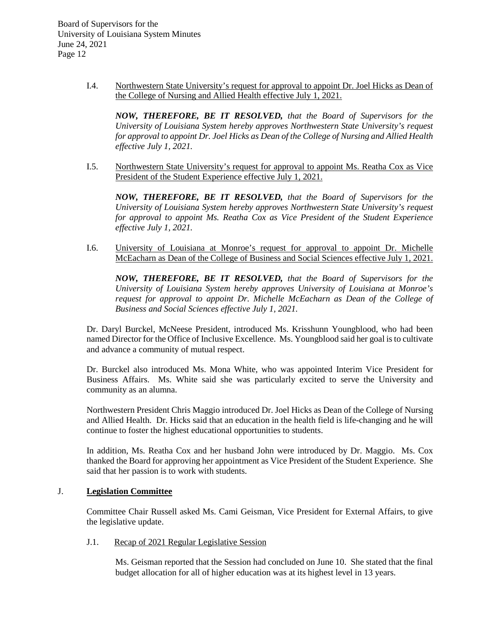> I.4. Northwestern State University's request for approval to appoint Dr. Joel Hicks as Dean of the College of Nursing and Allied Health effective July 1, 2021.

*NOW, THEREFORE, BE IT RESOLVED, that the Board of Supervisors for the University of Louisiana System hereby approves Northwestern State University's request for approval to appoint Dr. Joel Hicks as Dean of the College of Nursing and Allied Health effective July 1, 2021.*

I.5. Northwestern State University's request for approval to appoint Ms. Reatha Cox as Vice President of the Student Experience effective July 1, 2021.

*NOW, THEREFORE, BE IT RESOLVED, that the Board of Supervisors for the University of Louisiana System hereby approves Northwestern State University's request for approval to appoint Ms. Reatha Cox as Vice President of the Student Experience effective July 1, 2021.*

I.6. University of Louisiana at Monroe's request for approval to appoint Dr. Michelle McEacharn as Dean of the College of Business and Social Sciences effective July 1, 2021.

*NOW, THEREFORE, BE IT RESOLVED, that the Board of Supervisors for the University of Louisiana System hereby approves University of Louisiana at Monroe's request for approval to appoint Dr. Michelle McEacharn as Dean of the College of Business and Social Sciences effective July 1, 2021.*

Dr. Daryl Burckel, McNeese President, introduced Ms. Krisshunn Youngblood, who had been named Director for the Office of Inclusive Excellence. Ms. Youngblood said her goal is to cultivate and advance a community of mutual respect.

Dr. Burckel also introduced Ms. Mona White, who was appointed Interim Vice President for Business Affairs. Ms. White said she was particularly excited to serve the University and community as an alumna.

Northwestern President Chris Maggio introduced Dr. Joel Hicks as Dean of the College of Nursing and Allied Health. Dr. Hicks said that an education in the health field is life-changing and he will continue to foster the highest educational opportunities to students.

In addition, Ms. Reatha Cox and her husband John were introduced by Dr. Maggio. Ms. Cox thanked the Board for approving her appointment as Vice President of the Student Experience. She said that her passion is to work with students.

# J. **Legislation Committee**

Committee Chair Russell asked Ms. Cami Geisman, Vice President for External Affairs, to give the legislative update.

# J.1. Recap of 2021 Regular Legislative Session

Ms. Geisman reported that the Session had concluded on June 10. She stated that the final budget allocation for all of higher education was at its highest level in 13 years.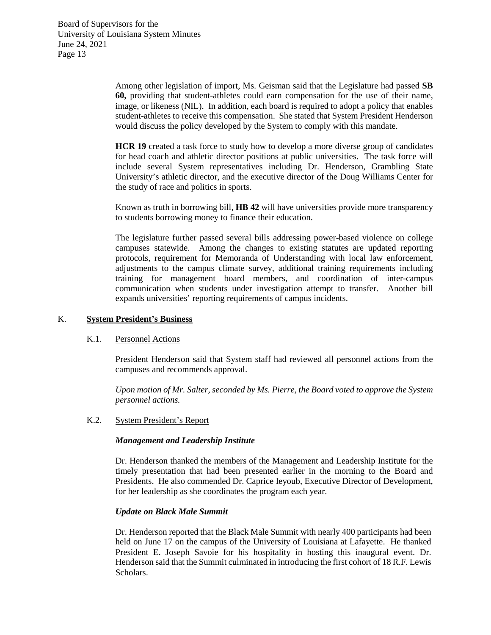> Among other legislation of import, Ms. Geisman said that the Legislature had passed **SB 60,** providing that student-athletes could earn compensation for the use of their name, image, or likeness (NIL). In addition, each board is required to adopt a policy that enables student-athletes to receive this compensation. She stated that System President Henderson would discuss the policy developed by the System to comply with this mandate.

> **HCR 19** created a task force to study how to develop a more diverse group of candidates for head coach and athletic director positions at public universities. The task force will include several System representatives including Dr. Henderson, Grambling State University's athletic director, and the executive director of the Doug Williams Center for the study of race and politics in sports.

> Known as truth in borrowing bill, **HB 42** will have universities provide more transparency to students borrowing money to finance their education.

> The legislature further passed several bills addressing power-based violence on college campuses statewide. Among the changes to existing statutes are updated reporting protocols, requirement for Memoranda of Understanding with local law enforcement, adjustments to the campus climate survey, additional training requirements including training for management board members, and coordination of inter-campus communication when students under investigation attempt to transfer. Another bill expands universities' reporting requirements of campus incidents.

## K. **System President's Business**

# K.1. Personnel Actions

President Henderson said that System staff had reviewed all personnel actions from the campuses and recommends approval.

*Upon motion of Mr. Salter, seconded by Ms. Pierre, the Board voted to approve the System personnel actions.*

K.2. System President's Report

# *Management and Leadership Institute*

Dr. Henderson thanked the members of the Management and Leadership Institute for the timely presentation that had been presented earlier in the morning to the Board and Presidents. He also commended Dr. Caprice Ieyoub, Executive Director of Development, for her leadership as she coordinates the program each year.

### *Update on Black Male Summit*

Dr. Henderson reported that the Black Male Summit with nearly 400 participants had been held on June 17 on the campus of the University of Louisiana at Lafayette. He thanked President E. Joseph Savoie for his hospitality in hosting this inaugural event. Dr. Henderson said that the Summit culminated in introducing the first cohort of 18 R.F. Lewis Scholars.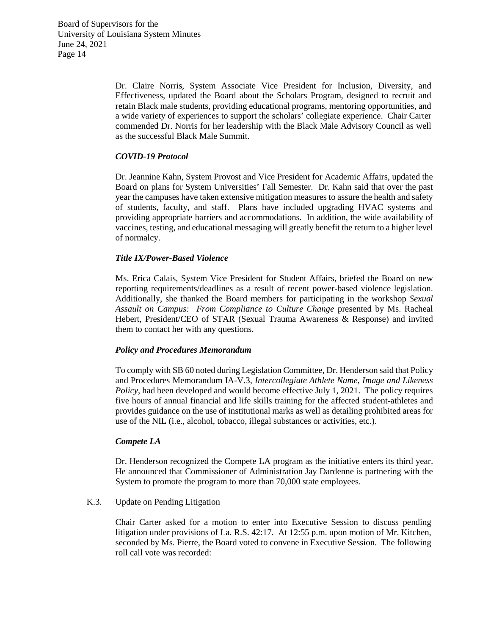Dr. Claire Norris, System Associate Vice President for Inclusion, Diversity, and Effectiveness, updated the Board about the Scholars Program, designed to recruit and retain Black male students, providing educational programs, mentoring opportunities, and a wide variety of experiences to support the scholars' collegiate experience. Chair Carter commended Dr. Norris for her leadership with the Black Male Advisory Council as well as the successful Black Male Summit.

# *COVID-19 Protocol*

Dr. Jeannine Kahn, System Provost and Vice President for Academic Affairs, updated the Board on plans for System Universities' Fall Semester. Dr. Kahn said that over the past year the campuses have taken extensive mitigation measures to assure the health and safety of students, faculty, and staff. Plans have included upgrading HVAC systems and providing appropriate barriers and accommodations. In addition, the wide availability of vaccines, testing, and educational messaging will greatly benefit the return to a higher level of normalcy.

# *Title IX/Power-Based Violence*

Ms. Erica Calais, System Vice President for Student Affairs, briefed the Board on new reporting requirements/deadlines as a result of recent power-based violence legislation. Additionally, she thanked the Board members for participating in the workshop *Sexual Assault on Campus: From Compliance to Culture Change* presented by Ms. Racheal Hebert, President/CEO of STAR (Sexual Trauma Awareness & Response) and invited them to contact her with any questions.

# *Policy and Procedures Memorandum*

To comply with SB 60 noted during Legislation Committee, Dr. Henderson said that Policy and Procedures Memorandum IA-V.3, *Intercollegiate Athlete Name, Image and Likeness Policy*, had been developed and would become effective July 1, 2021. The policy requires five hours of annual financial and life skills training for the affected student-athletes and provides guidance on the use of institutional marks as well as detailing prohibited areas for use of the NIL (i.e., alcohol, tobacco, illegal substances or activities, etc.).

# *Compete LA*

Dr. Henderson recognized the Compete LA program as the initiative enters its third year. He announced that Commissioner of Administration Jay Dardenne is partnering with the System to promote the program to more than 70,000 state employees.

### K.3. Update on Pending Litigation

Chair Carter asked for a motion to enter into Executive Session to discuss pending litigation under provisions of La. R.S. 42:17. At 12:55 p.m. upon motion of Mr. Kitchen, seconded by Ms. Pierre, the Board voted to convene in Executive Session. The following roll call vote was recorded: